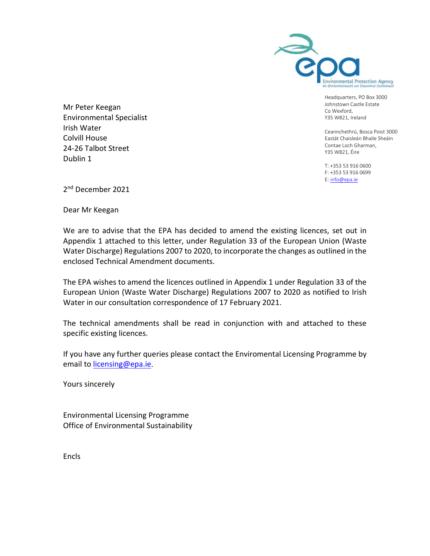

Headquarters, PO Box 3000 Johnstown Castle Estate Co Wexford, Y35 W821, Ireland

Ceannchethrú, Bosca Poist 3000 Eastát Chaisleán Bhaile Sheáin Contae Loch Gharman, Y35 W821, Éire

T: +353 53 916 0600 F: +353 53 916 0699 E[: info@epa.ie](mailto:infor@epa.ie)

Mr Peter Keegan Environmental Specialist Irish Water Colvill House 24-26 Talbot Street Dublin 1

2<sup>nd</sup> December 2021

Dear Mr Keegan

 We are to advise that the EPA has decided to amend the existing licences, set out in Appendix 1 attached to this letter, under Regulation 33 of the European Union (Waste Water Discharge) Regulations 2007 to 2020, to incorporate the changes as outlined in the enclosed Technical Amendment documents.

The EPA wishes to amend the licences outlined in Appendix 1 under Regulation 33 of the European Union (Waste Water Discharge) Regulations 2007 to 2020 as notified to Irish Water in our consultation correspondence of 17 February 2021.

The technical amendments shall be read in conjunction with and attached to these specific existing licences.

If you have any further queries please contact the Enviromental Licensing Programme by email to [licensing@epa.ie.](mailto:licensing@epa.ie)

Yours sincerely

Environmental Licensing Programme Office of Environmental Sustainability

Encls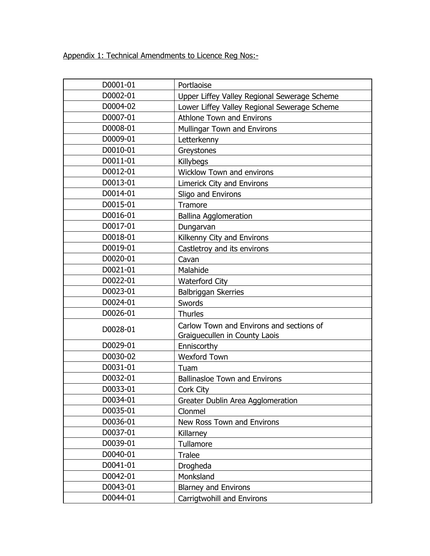Appendix 1: Technical Amendments to Licence Reg Nos:-

| D0001-01 | Portlaoise                                                                |
|----------|---------------------------------------------------------------------------|
| D0002-01 | Upper Liffey Valley Regional Sewerage Scheme                              |
| D0004-02 | Lower Liffey Valley Regional Sewerage Scheme                              |
| D0007-01 | Athlone Town and Environs                                                 |
| D0008-01 | Mullingar Town and Environs                                               |
| D0009-01 | Letterkenny                                                               |
| D0010-01 | Greystones                                                                |
| D0011-01 | <b>Killybegs</b>                                                          |
| D0012-01 | <b>Wicklow Town and environs</b>                                          |
| D0013-01 | Limerick City and Environs                                                |
| D0014-01 | Sligo and Environs                                                        |
| D0015-01 | Tramore                                                                   |
| D0016-01 | <b>Ballina Agglomeration</b>                                              |
| D0017-01 | Dungarvan                                                                 |
| D0018-01 | Kilkenny City and Environs                                                |
| D0019-01 | Castletroy and its environs                                               |
| D0020-01 | Cavan                                                                     |
| D0021-01 | Malahide                                                                  |
| D0022-01 | <b>Waterford City</b>                                                     |
| D0023-01 | Balbriggan Skerries                                                       |
| D0024-01 | Swords                                                                    |
| D0026-01 | <b>Thurles</b>                                                            |
| D0028-01 | Carlow Town and Environs and sections of<br>Graiguecullen in County Laois |
| D0029-01 | Enniscorthy                                                               |
| D0030-02 | <b>Wexford Town</b>                                                       |
| D0031-01 | Tuam                                                                      |
| D0032-01 | <b>Ballinasloe Town and Environs</b>                                      |
| D0033-01 | Cork City                                                                 |
| D0034-01 | Greater Dublin Area Agglomeration                                         |
| D0035-01 | Clonmel                                                                   |
| D0036-01 | New Ross Town and Environs                                                |
| D0037-01 | Killarney                                                                 |
| D0039-01 | Tullamore                                                                 |
| D0040-01 | Tralee                                                                    |
| D0041-01 | Drogheda                                                                  |
| D0042-01 | Monksland                                                                 |
| D0043-01 | <b>Blarney and Environs</b>                                               |
| D0044-01 | Carrigtwohill and Environs                                                |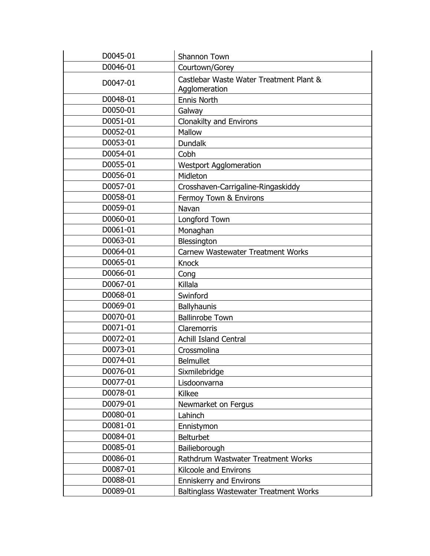| D0045-01 | Shannon Town                                             |
|----------|----------------------------------------------------------|
| D0046-01 | Courtown/Gorey                                           |
| D0047-01 | Castlebar Waste Water Treatment Plant &<br>Agglomeration |
| D0048-01 | <b>Ennis North</b>                                       |
| D0050-01 | Galway                                                   |
| D0051-01 | <b>Clonakilty and Environs</b>                           |
| D0052-01 | Mallow                                                   |
| D0053-01 | <b>Dundalk</b>                                           |
| D0054-01 | Cobh                                                     |
| D0055-01 | <b>Westport Agglomeration</b>                            |
| D0056-01 | Midleton                                                 |
| D0057-01 | Crosshaven-Carrigaline-Ringaskiddy                       |
| D0058-01 | Fermoy Town & Environs                                   |
| D0059-01 | Navan                                                    |
| D0060-01 | Longford Town                                            |
| D0061-01 | Monaghan                                                 |
| D0063-01 | Blessington                                              |
| D0064-01 | Carnew Wastewater Treatment Works                        |
| D0065-01 | <b>Knock</b>                                             |
| D0066-01 | Cong                                                     |
| D0067-01 | Killala                                                  |
| D0068-01 | Swinford                                                 |
| D0069-01 | Ballyhaunis                                              |
| D0070-01 | <b>Ballinrobe Town</b>                                   |
| D0071-01 | Claremorris                                              |
| D0072-01 | <b>Achill Island Central</b>                             |
| D0073-01 | Crossmolina                                              |
| D0074-01 | <b>Belmullet</b>                                         |
| D0076-01 | Sixmilebridge                                            |
| D0077-01 | Lisdoonvarna                                             |
| D0078-01 | Kilkee                                                   |
| D0079-01 | Newmarket on Fergus                                      |
| D0080-01 | Lahinch                                                  |
| D0081-01 | Ennistymon                                               |
| D0084-01 | <b>Belturbet</b>                                         |
| D0085-01 | Bailieborough                                            |
| D0086-01 | Rathdrum Wastwater Treatment Works                       |
| D0087-01 | Kilcoole and Environs                                    |
| D0088-01 | <b>Enniskerry and Environs</b>                           |
| D0089-01 | <b>Baltinglass Wastewater Treatment Works</b>            |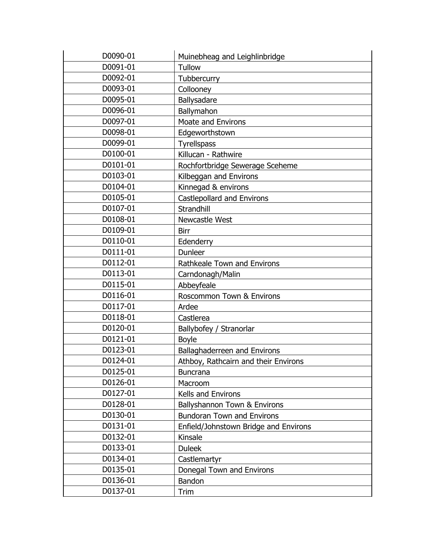| D0090-01 | Muinebheag and Leighlinbridge         |
|----------|---------------------------------------|
| D0091-01 | Tullow                                |
| D0092-01 | Tubbercurry                           |
| D0093-01 | Collooney                             |
| D0095-01 | Ballysadare                           |
| D0096-01 | Ballymahon                            |
| D0097-01 | <b>Moate and Environs</b>             |
| D0098-01 | Edgeworthstown                        |
| D0099-01 | <b>Tyrellspass</b>                    |
| D0100-01 | Killucan - Rathwire                   |
| D0101-01 | Rochfortbridge Sewerage Sceheme       |
| D0103-01 | Kilbeggan and Environs                |
| D0104-01 | Kinnegad & environs                   |
| D0105-01 | <b>Castlepollard and Environs</b>     |
| D0107-01 | Strandhill                            |
| D0108-01 | Newcastle West                        |
| D0109-01 | Birr                                  |
| D0110-01 | Edenderry                             |
| D0111-01 | <b>Dunleer</b>                        |
| D0112-01 | Rathkeale Town and Environs           |
| D0113-01 | Carndonagh/Malin                      |
| D0115-01 | Abbeyfeale                            |
| D0116-01 | Roscommon Town & Environs             |
| D0117-01 | Ardee                                 |
| D0118-01 | Castlerea                             |
| D0120-01 | Ballybofey / Stranorlar               |
| D0121-01 | <b>Boyle</b>                          |
| D0123-01 | Ballaghaderreen and Environs          |
| D0124-01 | Athboy, Rathcairn and their Environs  |
| D0125-01 | <b>Buncrana</b>                       |
| D0126-01 | Macroom                               |
| D0127-01 | Kells and Environs                    |
| D0128-01 | Ballyshannon Town & Environs          |
| D0130-01 | <b>Bundoran Town and Environs</b>     |
| D0131-01 | Enfield/Johnstown Bridge and Environs |
| D0132-01 | Kinsale                               |
| D0133-01 | <b>Duleek</b>                         |
| D0134-01 | Castlemartyr                          |
| D0135-01 | Donegal Town and Environs             |
| D0136-01 | Bandon                                |
| D0137-01 | Trim                                  |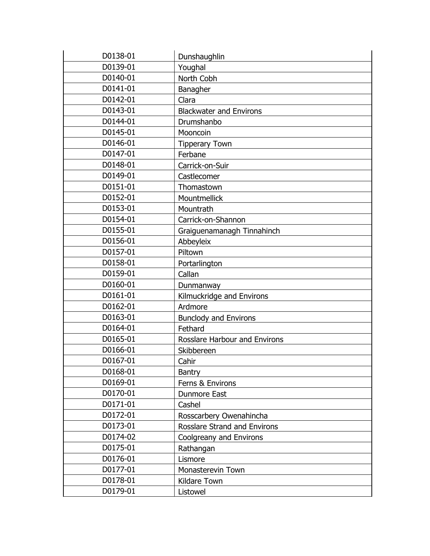| D0138-01 | Dunshaughlin                   |
|----------|--------------------------------|
| D0139-01 | Youghal                        |
| D0140-01 | North Cobh                     |
| D0141-01 | Banagher                       |
| D0142-01 | Clara                          |
| D0143-01 | <b>Blackwater and Environs</b> |
| D0144-01 | Drumshanbo                     |
| D0145-01 | Mooncoin                       |
| D0146-01 | <b>Tipperary Town</b>          |
| D0147-01 | Ferbane                        |
| D0148-01 | Carrick-on-Suir                |
| D0149-01 | Castlecomer                    |
| D0151-01 | Thomastown                     |
| D0152-01 | Mountmellick                   |
| D0153-01 | Mountrath                      |
| D0154-01 | Carrick-on-Shannon             |
| D0155-01 | Graiguenamanagh Tinnahinch     |
| D0156-01 | Abbeyleix                      |
| D0157-01 | Piltown                        |
| D0158-01 | Portarlington                  |
| D0159-01 | Callan                         |
| D0160-01 | Dunmanway                      |
| D0161-01 | Kilmuckridge and Environs      |
| D0162-01 | Ardmore                        |
| D0163-01 | <b>Bunclody and Environs</b>   |
| D0164-01 | Fethard                        |
| D0165-01 | Rosslare Harbour and Environs  |
| D0166-01 | Skibbereen                     |
| D0167-01 | Cahir                          |
| D0168-01 | <b>Bantry</b>                  |
| D0169-01 | Ferns & Environs               |
| D0170-01 | <b>Dunmore East</b>            |
| D0171-01 | Cashel                         |
| D0172-01 | Rosscarbery Owenahincha        |
| D0173-01 | Rosslare Strand and Environs   |
| D0174-02 | Coolgreany and Environs        |
| D0175-01 | Rathangan                      |
| D0176-01 | Lismore                        |
| D0177-01 | Monasterevin Town              |
| D0178-01 | Kildare Town                   |
| D0179-01 | Listowel                       |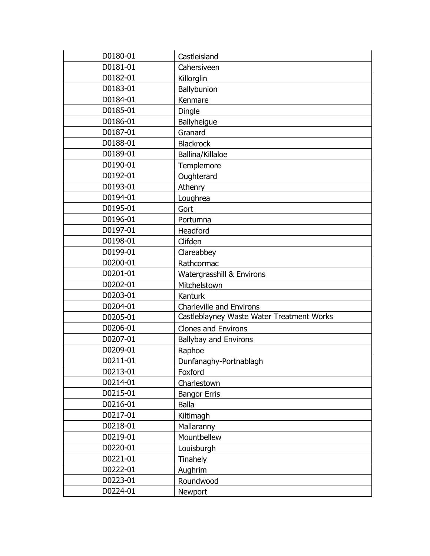| D0180-01 | Castleisland                              |
|----------|-------------------------------------------|
| D0181-01 | Cahersiveen                               |
| D0182-01 | Killorglin                                |
| D0183-01 | Ballybunion                               |
| D0184-01 | Kenmare                                   |
| D0185-01 | Dingle                                    |
| D0186-01 | Ballyheigue                               |
| D0187-01 | Granard                                   |
| D0188-01 | <b>Blackrock</b>                          |
| D0189-01 | Ballina/Killaloe                          |
| D0190-01 | Templemore                                |
| D0192-01 | Oughterard                                |
| D0193-01 | Athenry                                   |
| D0194-01 | Loughrea                                  |
| D0195-01 | Gort                                      |
| D0196-01 | Portumna                                  |
| D0197-01 | Headford                                  |
| D0198-01 | Clifden                                   |
| D0199-01 | Clareabbey                                |
| D0200-01 | Rathcormac                                |
| D0201-01 | Watergrasshill & Environs                 |
| D0202-01 | Mitchelstown                              |
| D0203-01 | Kanturk                                   |
| D0204-01 | <b>Charleville and Environs</b>           |
| D0205-01 | Castleblayney Waste Water Treatment Works |
| D0206-01 | <b>Clones and Environs</b>                |
| D0207-01 | <b>Ballybay and Environs</b>              |
| D0209-01 | Raphoe                                    |
| D0211-01 | Dunfanaghy-Portnablagh                    |
| D0213-01 | Foxford                                   |
| D0214-01 | Charlestown                               |
| D0215-01 | <b>Bangor Erris</b>                       |
| D0216-01 | <b>Balla</b>                              |
| D0217-01 | Kiltimagh                                 |
| D0218-01 | Mallaranny                                |
| D0219-01 | Mountbellew                               |
| D0220-01 | Louisburgh                                |
| D0221-01 | Tinahely                                  |
| D0222-01 | Aughrim                                   |
| D0223-01 | Roundwood                                 |
| D0224-01 | Newport                                   |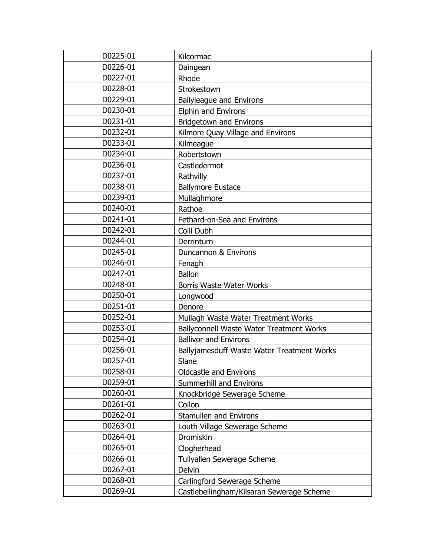| D0225-01 | Kilcormac                                  |
|----------|--------------------------------------------|
| D0226-01 | Daingean                                   |
| D0227-01 | Rhode                                      |
| D0228-01 | Strokestown                                |
| D0229-01 | <b>Ballyleague and Environs</b>            |
| D0230-01 | <b>Elphin and Environs</b>                 |
| D0231-01 | <b>Bridgetown and Environs</b>             |
| D0232-01 | Kilmore Quay Village and Environs          |
| D0233-01 | Kilmeague                                  |
| D0234-01 | Robertstown                                |
| D0236-01 | Castledermot                               |
| D0237-01 | Rathvilly                                  |
| D0238-01 | <b>Ballymore Eustace</b>                   |
| D0239-01 | Mullaghmore                                |
| D0240-01 | Rathoe                                     |
| D0241-01 | Fethard-on-Sea and Environs                |
| D0242-01 | Coill Dubh                                 |
| D0244-01 | Derrinturn                                 |
| D0245-01 | Duncannon & Environs                       |
| D0246-01 | Fenagh                                     |
| D0247-01 | <b>Ballon</b>                              |
| D0248-01 | <b>Borris Waste Water Works</b>            |
| D0250-01 | Longwood                                   |
| D0251-01 | Donore                                     |
| D0252-01 | Mullagh Waste Water Treatment Works        |
| D0253-01 | Ballyconnell Waste Water Treatment Works   |
| D0254-01 | <b>Ballivor and Environs</b>               |
| D0256-01 | Ballyjamesduff Waste Water Treatment Works |
| D0257-01 | Slane                                      |
| D0258-01 | <b>Oldcastle and Environs</b>              |
| D0259-01 | <b>Summerhill and Environs</b>             |
| D0260-01 | Knockbridge Sewerage Scheme                |
| D0261-01 | Collon                                     |
| D0262-01 | <b>Stamullen and Environs</b>              |
| D0263-01 | Louth Village Sewerage Scheme              |
| D0264-01 | Dromiskin                                  |
| D0265-01 | Clogherhead                                |
| D0266-01 | Tullyallen Sewerage Scheme                 |
| D0267-01 | Delvin                                     |
| D0268-01 | Carlingford Sewerage Scheme                |
| D0269-01 | Castlebellingham/Kilsaran Sewerage Scheme  |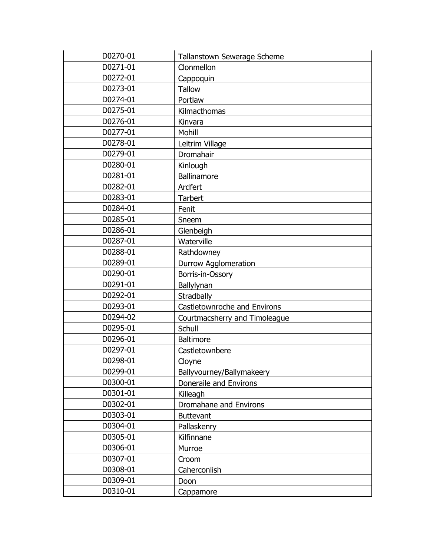| D0270-01 | Tallanstown Sewerage Scheme   |
|----------|-------------------------------|
| D0271-01 | Clonmellon                    |
| D0272-01 | Cappoquin                     |
| D0273-01 | <b>Tallow</b>                 |
| D0274-01 | Portlaw                       |
| D0275-01 | Kilmacthomas                  |
| D0276-01 | Kinvara                       |
| D0277-01 | Mohill                        |
| D0278-01 | Leitrim Village               |
| D0279-01 | Dromahair                     |
| D0280-01 | Kinlough                      |
| D0281-01 | Ballinamore                   |
| D0282-01 | Ardfert                       |
| D0283-01 | <b>Tarbert</b>                |
| D0284-01 | Fenit                         |
| D0285-01 | Sneem                         |
| D0286-01 | Glenbeigh                     |
| D0287-01 | Waterville                    |
| D0288-01 | Rathdowney                    |
| D0289-01 | <b>Durrow Agglomeration</b>   |
| D0290-01 | Borris-in-Ossory              |
| D0291-01 | Ballylynan                    |
| D0292-01 | Stradbally                    |
| D0293-01 | Castletownroche and Environs  |
| D0294-02 | Courtmacsherry and Timoleague |
| D0295-01 | Schull                        |
| D0296-01 | <b>Baltimore</b>              |
| D0297-01 | Castletownbere                |
| D0298-01 | Cloyne                        |
| D0299-01 | Ballyvourney/Ballymakeery     |
| D0300-01 | Doneraile and Environs        |
| D0301-01 | Killeagh                      |
| D0302-01 | Dromahane and Environs        |
| D0303-01 | <b>Buttevant</b>              |
| D0304-01 | Pallaskenry                   |
| D0305-01 | Kilfinnane                    |
| D0306-01 | Murroe                        |
| D0307-01 | Croom                         |
| D0308-01 | Caherconlish                  |
| D0309-01 | Doon                          |
| D0310-01 | Cappamore                     |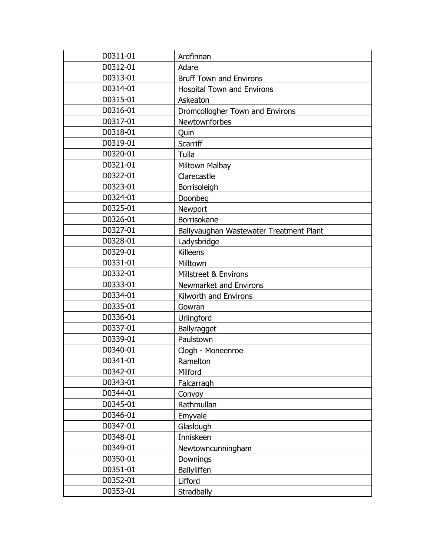| D0311-01 | Ardfinnan                               |
|----------|-----------------------------------------|
| D0312-01 | Adare                                   |
| D0313-01 | <b>Bruff Town and Environs</b>          |
| D0314-01 | <b>Hospital Town and Environs</b>       |
| D0315-01 | Askeaton                                |
| D0316-01 | Dromcollogher Town and Environs         |
| D0317-01 | Newtownforbes                           |
| D0318-01 | Quin                                    |
| D0319-01 | <b>Scarriff</b>                         |
| D0320-01 | Tulla                                   |
| D0321-01 | Miltown Malbay                          |
| D0322-01 | Clarecastle                             |
| D0323-01 | Borrisoleigh                            |
| D0324-01 | Doonbeg                                 |
| D0325-01 | Newport                                 |
| D0326-01 | Borrisokane                             |
| D0327-01 | Ballyvaughan Wastewater Treatment Plant |
| D0328-01 | Ladysbridge                             |
| D0329-01 | Killeens                                |
| D0331-01 | Milltown                                |
| D0332-01 | <b>Millstreet &amp; Environs</b>        |
| D0333-01 | Newmarket and Environs                  |
| D0334-01 | Kilworth and Environs                   |
| D0335-01 | Gowran                                  |
| D0336-01 | Urlingford                              |
| D0337-01 | Ballyragget                             |
| D0339-01 | Paulstown                               |
| D0340-01 | Clogh - Moneenroe                       |
| D0341-01 | Ramelton                                |
| D0342-01 | Milford                                 |
| D0343-01 | Falcarragh                              |
| D0344-01 | Convoy                                  |
| D0345-01 | Rathmullan                              |
| D0346-01 | Emyvale                                 |
| D0347-01 | Glaslough                               |
| D0348-01 | Inniskeen                               |
| D0349-01 | Newtowncunningham                       |
| D0350-01 | Downings                                |
| D0351-01 | Ballyliffen                             |
| D0352-01 | Lifford                                 |
| D0353-01 | Stradbally                              |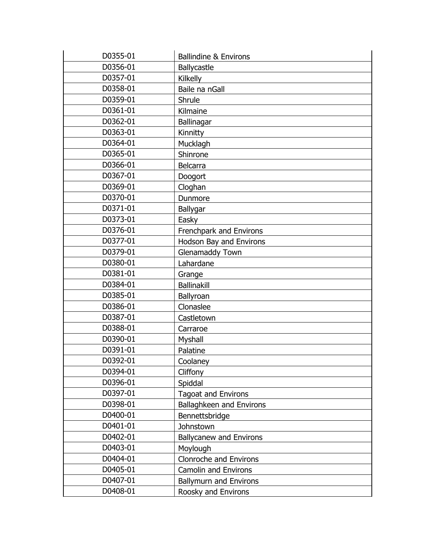| D0355-01 | <b>Ballindine &amp; Environs</b> |
|----------|----------------------------------|
| D0356-01 | Ballycastle                      |
| D0357-01 | Kilkelly                         |
| D0358-01 | Baile na nGall                   |
| D0359-01 | Shrule                           |
| D0361-01 | Kilmaine                         |
| D0362-01 | Ballinagar                       |
| D0363-01 | Kinnitty                         |
| D0364-01 | Mucklagh                         |
| D0365-01 | Shinrone                         |
| D0366-01 | Belcarra                         |
| D0367-01 | Doogort                          |
| D0369-01 | Cloghan                          |
| D0370-01 | Dunmore                          |
| D0371-01 | Ballygar                         |
| D0373-01 | Easky                            |
| D0376-01 | Frenchpark and Environs          |
| D0377-01 | Hodson Bay and Environs          |
| D0379-01 | Glenamaddy Town                  |
| D0380-01 | Lahardane                        |
| D0381-01 | Grange                           |
| D0384-01 | <b>Ballinakill</b>               |
| D0385-01 | Ballyroan                        |
| D0386-01 | Clonaslee                        |
| D0387-01 | Castletown                       |
| D0388-01 | Carraroe                         |
| D0390-01 | Myshall                          |
| D0391-01 | Palatine                         |
| D0392-01 | Coolaney                         |
| D0394-01 | Cliffony                         |
| D0396-01 | Spiddal                          |
| D0397-01 | <b>Tagoat and Environs</b>       |
| D0398-01 | Ballaghkeen and Environs         |
| D0400-01 | Bennettsbridge                   |
| D0401-01 | Johnstown                        |
| D0402-01 | <b>Ballycanew and Environs</b>   |
| D0403-01 | Moylough                         |
| D0404-01 | Clonroche and Environs           |
| D0405-01 | <b>Camolin and Environs</b>      |
| D0407-01 | <b>Ballymurn and Environs</b>    |
| D0408-01 | Roosky and Environs              |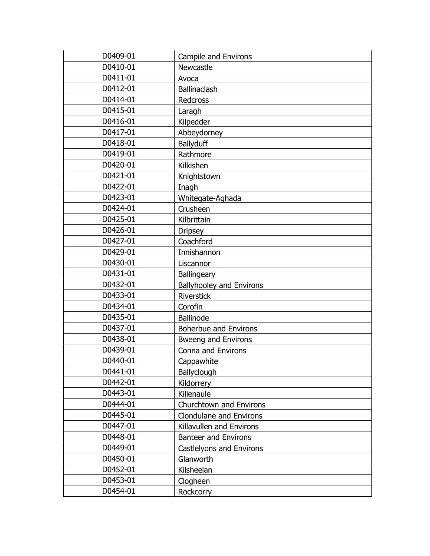| D0409-01 | Campile and Environs            |
|----------|---------------------------------|
| D0410-01 | Newcastle                       |
| D0411-01 | Avoca                           |
| D0412-01 | <b>Ballinaclash</b>             |
| D0414-01 | Redcross                        |
| D0415-01 | Laragh                          |
| D0416-01 | Kilpedder                       |
| D0417-01 | Abbeydorney                     |
| D0418-01 | Ballyduff                       |
| D0419-01 | Rathmore                        |
| D0420-01 | Kilkishen                       |
| D0421-01 | Knightstown                     |
| D0422-01 | Inagh                           |
| D0423-01 | Whitegate-Aghada                |
| D0424-01 | Crusheen                        |
| D0425-01 | Kilbrittain                     |
| D0426-01 | <b>Dripsey</b>                  |
| D0427-01 | Coachford                       |
| D0429-01 | Innishannon                     |
| D0430-01 | Liscannor                       |
| D0431-01 | <b>Ballingeary</b>              |
| D0432-01 | <b>Ballyhooley and Environs</b> |
| D0433-01 | Riverstick                      |
| D0434-01 | Corofin                         |
| D0435-01 | <b>Ballinode</b>                |
| D0437-01 | <b>Boherbue and Environs</b>    |
| D0438-01 | <b>Bweeng and Environs</b>      |
| D0439-01 | Conna and Environs              |
| D0440-01 | Cappawhite                      |
| D0441-01 | Ballyclough                     |
| D0442-01 | Kildorrery                      |
| D0443-01 | Killenaule                      |
| D0444-01 | Churchtown and Environs         |
| D0445-01 | Clondulane and Environs         |
| D0447-01 | Killavullen and Environs        |
| D0448-01 | <b>Banteer and Environs</b>     |
| D0449-01 | Castlelyons and Environs        |
| D0450-01 | Glanworth                       |
| D0452-01 | Kilsheelan                      |
| D0453-01 | Clogheen                        |
| D0454-01 | Rockcorry                       |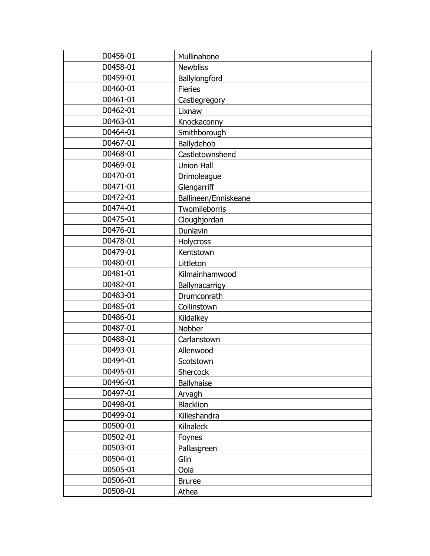| D0456-01 | Mullinahone          |
|----------|----------------------|
| D0458-01 | <b>Newbliss</b>      |
| D0459-01 | Ballylongford        |
| D0460-01 | <b>Fieries</b>       |
| D0461-01 | Castlegregory        |
| D0462-01 | Lixnaw               |
| D0463-01 | Knockaconny          |
| D0464-01 | Smithborough         |
| D0467-01 | Ballydehob           |
| D0468-01 | Castletownshend      |
| D0469-01 | <b>Union Hall</b>    |
| D0470-01 | Drimoleague          |
| D0471-01 | Glengarriff          |
| D0472-01 | Ballineen/Enniskeane |
| D0474-01 | Twomileborris        |
| D0475-01 | Cloughjordan         |
| D0476-01 | Dunlavin             |
| D0478-01 | Holycross            |
| D0479-01 | Kentstown            |
| D0480-01 | Littleton            |
| D0481-01 | Kilmainhamwood       |
| D0482-01 | Ballynacarrigy       |
| D0483-01 | Drumconrath          |
| D0485-01 | Collinstown          |
| D0486-01 | Kildalkey            |
| D0487-01 | Nobber               |
| D0488-01 | Carlanstown          |
| D0493-01 | Allenwood            |
| D0494-01 | Scotstown            |
| D0495-01 | Shercock             |
| D0496-01 | Ballyhaise           |
| D0497-01 | Arvagh               |
| D0498-01 | <b>Blacklion</b>     |
| D0499-01 | Killeshandra         |
| D0500-01 | <b>Kilnaleck</b>     |
| D0502-01 | <b>Foynes</b>        |
| D0503-01 | Pallasgreen          |
| D0504-01 | Glin                 |
| D0505-01 | Oola                 |
| D0506-01 | <b>Bruree</b>        |
| D0508-01 | Athea                |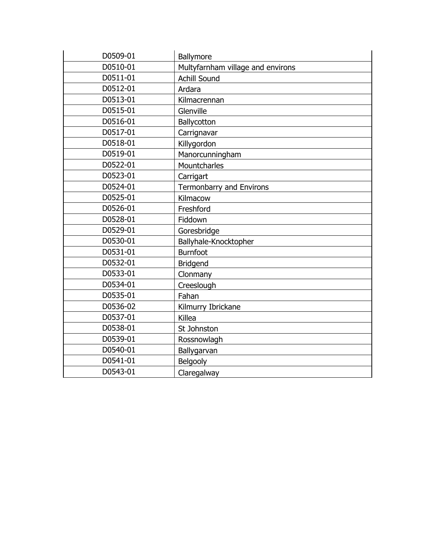| D0509-01 | Ballymore                         |
|----------|-----------------------------------|
| D0510-01 | Multyfarnham village and environs |
| D0511-01 | <b>Achill Sound</b>               |
| D0512-01 | Ardara                            |
| D0513-01 | Kilmacrennan                      |
| D0515-01 | Glenville                         |
| D0516-01 | Ballycotton                       |
| D0517-01 | Carrignavar                       |
| D0518-01 | Killygordon                       |
| D0519-01 | Manorcunningham                   |
| D0522-01 | Mountcharles                      |
| D0523-01 | Carrigart                         |
| D0524-01 | <b>Termonbarry and Environs</b>   |
| D0525-01 | Kilmacow                          |
| D0526-01 | Freshford                         |
| D0528-01 | Fiddown                           |
| D0529-01 | Goresbridge                       |
| D0530-01 | Ballyhale-Knocktopher             |
| D0531-01 | <b>Burnfoot</b>                   |
| D0532-01 | <b>Bridgend</b>                   |
| D0533-01 | Clonmany                          |
| D0534-01 | Creeslough                        |
| D0535-01 | Fahan                             |
| D0536-02 | Kilmurry Ibrickane                |
| D0537-01 | Killea                            |
| D0538-01 | St Johnston                       |
| D0539-01 | Rossnowlagh                       |
| D0540-01 | Ballygarvan                       |
| D0541-01 | Belgooly                          |
| D0543-01 | Claregalway                       |